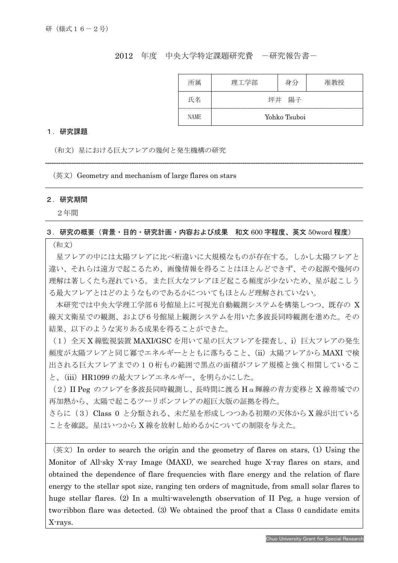## 2012 年度 中央大学特定課題研究費 -研究報告書-

| 所属          | 理工学部  | 身分           | 准教授 |
|-------------|-------|--------------|-----|
| 氏名          | 坪井 陽子 |              |     |
| <b>NAME</b> |       | Yohko Tsuboi |     |

#### 1.研究課題

(和文)星における巨大フレアの幾何と発生機構の研究

 $($ 英文) Geometry and mechanism of large flares on stars

### 2.研究期間

I

2年間

## 3.研究の概要(背景・目的・研究計画・内容および成果 和文 600 字程度、英文 50word 程度)

(和文)

星フレアの中には太陽フレアに比べ桁違いに大規模なものが存在する。しかし太陽フレアと 違い、それらは遠方で起こるため、画像情報を得ることはほとんどできず、その起源や幾何の 理解は著しくたち遅れている。また巨大なフレアほど起こる頻度が少ないため、星が起こしう る最大フレアとはどのようなものであるかについてもほとんど理解されていない。

本研究では中央大学理工学部6号館屋上に可視光自動観測システムを構築しつつ、既存の X 線天文衛星での観測、および6号館屋上観測システムを用いた多波長同時観測を進めた。その 結果、以下のような実りある成果を得ることができた。

(1)全天 X 線監視装置 MAXI/GSC を用いて星の巨大フレアを探査し、i)巨大フレアの発生 頻度が太陽フレアと同じ冪でエネルギーとともに落ちること、(ii)太陽フレアから MAXI で検 出される巨大フレアまでの10桁もの範囲で黒点の面積がフレア規模と強く相関しているこ と、(iii)HR1099 の最大フレアエネルギー、を明らかにした。

(2)II Peg のフレアを多波長同時観測し、長時間に渡る Hα輝線の青方変移と X 線帯域での 再加熱から、太陽で起こるツーリボンフレアの超巨大版の証拠を得た。

さらに(3)Class 0 と分類される、未だ星を形成しつつある初期の天体から X 線が出ている ことを確認。星はいつから X 線を放射し始めるかについての制限を与えた。

(英文)In order to search the origin and the geometry of flares on stars, (1) Using the Monitor of All-sky X-ray Image (MAXI), we searched huge X-ray flares on stars, and obtained the dependence of flare frequencies with flare energy and the relation of flare energy to the stellar spot size, ranging ten orders of magnitude, from small solar flares to huge stellar flares. (2) In a multi-wavelength observation of II Peg, a huge version of two-ribbon flare was detected. (3) We obtained the proof that a Class 0 candidate emits X-rays.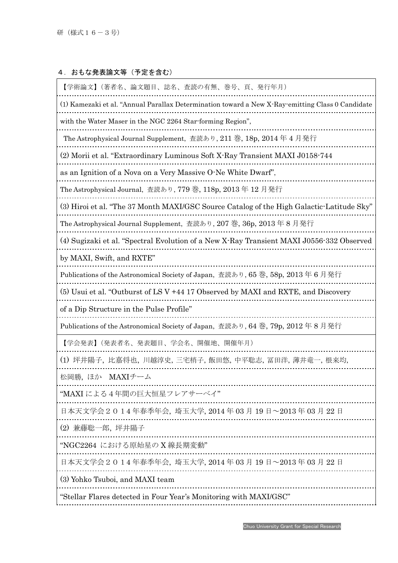# 4. おもな発表論文等(予定を含む)

| 【学術論文】(著者名、論文題目、誌名、査読の有無、巻号、頁、発行年月)                                                              |  |  |
|--------------------------------------------------------------------------------------------------|--|--|
| (1) Kamezaki et al. "Annual Parallax Determination toward a New X-Ray-emitting Class 0 Candidate |  |  |
| with the Water Maser in the NGC 2264 Star-forming Region",                                       |  |  |
| The Astrophysical Journal Supplement, 查読あり, 211 巻, 18p, 2014 年 4 月発行                             |  |  |
| (2) Morii et al. "Extraordinary Luminous Soft X-Ray Transient MAXI J0158-744                     |  |  |
| as an Ignition of a Nova on a Very Massive O-Ne White Dwarf'',                                   |  |  |
| The Astrophysical Journal, 査読あり, 779 巻, 118p, 2013 年 12 月発行                                      |  |  |
| (3) Hiroi et al. "The 37 Month MAXI/GSC Source Catalog of the High Galactic-Latitude Sky"        |  |  |
| The Astrophysical Journal Supplement, 查読あり, 207 巻, 36p, 2013年8月発行                                |  |  |
| (4) Sugizaki et al. "Spectral Evolution of a New X-Ray Transient MAXI J0556-332 Observed         |  |  |
| by MAXI, Swift, and RXTE"                                                                        |  |  |
| Publications of the Astronomical Society of Japan, 査読あり, 65巻, 58p, 2013年6月発行                     |  |  |
| (5) Usui et al. "Outburst of LS V +44 17 Observed by MAXI and RXTE, and Discovery                |  |  |
| of a Dip Structure in the Pulse Profile"                                                         |  |  |
| Publications of the Astronomical Society of Japan, 査読あり, 64 巻, 79p, 2012年8月発行                    |  |  |
| 【学会発表】(発表者名、発表題目、学会名、開催地、開催年月)                                                                   |  |  |
| (1)坪井陽子,比嘉将也,川越淳史,三宅梢子,飯田悠,中平聡志,冨田洋,薄井竜一,根来均,                                                    |  |  |
| 松岡勝, ほか MAXIチーム                                                                                  |  |  |
| "MAXI による4年間の巨大恒星フレアサーベイ'                                                                        |  |  |
| 日本天文学会 2 0 1 4 年春季年会, 埼玉大学, 2014 年 03 月 19 日~2013 年 03 月 22 日                                    |  |  |
| (2)兼藤聡一郎,坪井陽子                                                                                    |  |  |
| "NGC2264 における原始星の X 線長期変動"                                                                       |  |  |
| 日本天文学会 2 0 1 4 年春季年会, 埼玉大学, 2014 年 03 月 19 日~2013 年 03 月 22 日                                    |  |  |
| (3) Yohko Tsuboi, and MAXI team                                                                  |  |  |
| "Stellar Flares detected in Four Year's Monitoring with MAXI/GSC"                                |  |  |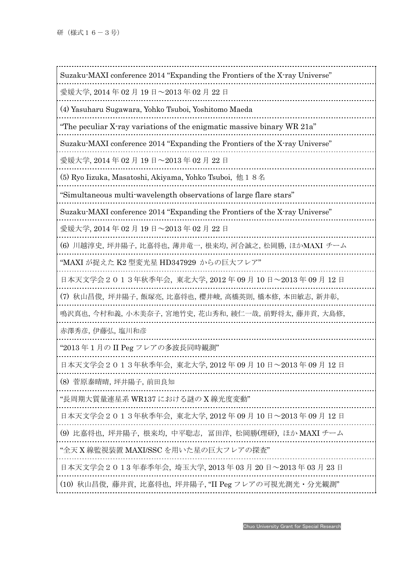| Suzaku MAXI conference 2014 "Expanding the Frontiers of the X-ray Universe" |
|-----------------------------------------------------------------------------|
| 愛媛大学, 2014 年 02 月 19 日~2013 年 02 月 22 日                                     |
| (4) Yasuharu Sugawara, Yohko Tsuboi, Yoshitomo Maeda                        |
| "The peculiar X-ray variations of the enigmatic massive binary WR 21a"      |
| Suzaku-MAXI conference 2014 "Expanding the Frontiers of the X-ray Universe" |
| 愛媛大学, 2014 年 02 月 19 日~2013 年 02 月 22 日                                     |
| (5) Ryo Iizuka, Masatoshi, Akiyama, Yohko Tsuboi, 他 1 8名                    |
| "Simultaneous multi-wavelength observations of large flare stars"           |
| Suzaku MAXI conference 2014 "Expanding the Frontiers of the X-ray Universe" |
| 愛媛大学, 2014 年 02 月 19 日~2013 年 02 月 22 日                                     |
| (6) 川越淳史, 坪井陽子, 比嘉将也, 薄井竜一, 根来均, 河合誠之, 松岡勝, ほかMAXI チーム                      |
| "MAXI が捉えた K2 型変光星 HD347929 からの巨大フレア"                                       |
| 日本天文学会2013年秋季年会, 東北大学, 2012 年 09 月 10 日~2013 年 09 月 12 日                    |
| (7) 秋山昌俊,坪井陽子,飯塚亮,比嘉将也,櫻井峻,高橋英則,橋本修,本田敏志,新井彰,                               |
| 鳴沢真也, 今村和義, 小木美奈子, 宮地竹史, 花山秀和, 綾仁一哉, 前野将太, 藤井貢, 大島修,                        |
| 赤澤秀彦, 伊藤弘, 塩川和彦                                                             |
| "2013 年 1 月の II Peg フレアの多波長同時観測"                                            |
| 日本天文学会2013年秋季年会,東北大学, 2012 年 09 月 10 日~2013 年 09 月 12 日                     |
| (8) 菅原泰晴晴, 坪井陽子, 前田良知                                                       |
| "長周期大質量連星系 WR137 における謎の X 線光度変動"                                            |
| 日本天文学会2013年秋季年会, 東北大学, 2012 年 09 月 10 日~2013 年 09 月 12 日                    |
| (9)比嘉将也, 坪井陽子, 根来均, 中平聡志, 冨田洋, 松岡勝(理研), ほか MAXI チーム                         |
| "全天 X 線監視装置 MAXI/SSC を用いた星の巨大フレアの探査"                                        |
| 日本天文学会 2 0 1 3 年春季年会, 埼玉大学, 2013 年 03 月 20 日~2013 年 03 月 23 日               |
| (10) 秋山昌俊, 藤井貢, 比嘉将也, 坪井陽子, "II Peg フレアの可視光測光·分光観測"                         |
|                                                                             |